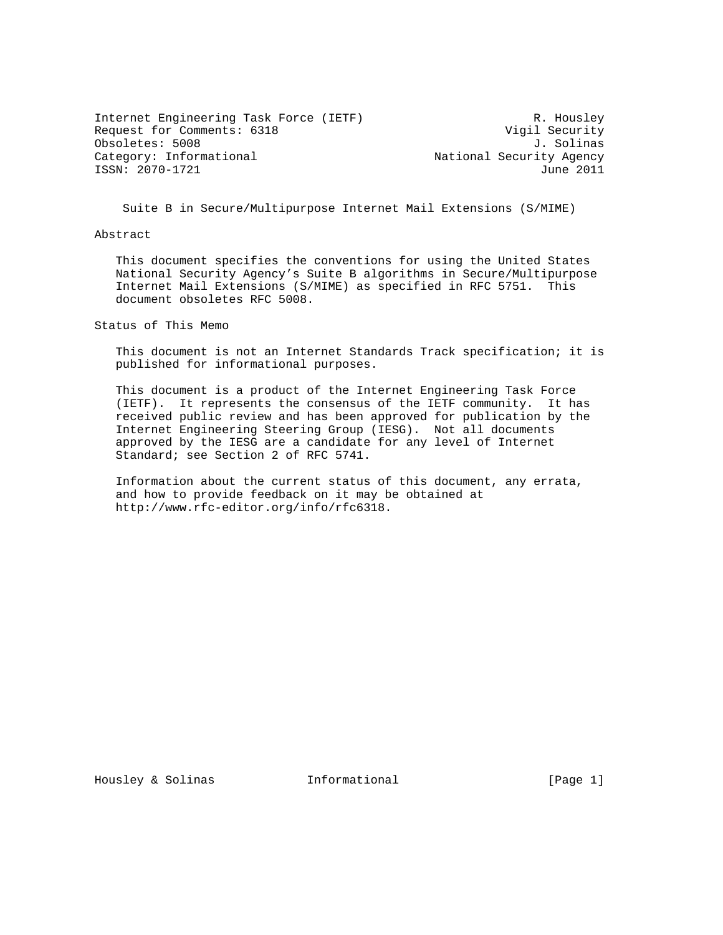Internet Engineering Task Force (IETF) R. Housley Request for Comments: 6318 Vigil Security Obsoletes: 5008 J. Solinas<br>Category: Informational and Subsoletes: Solinas ISSN: 2070-1721 June 2011

National Security Agency

Suite B in Secure/Multipurpose Internet Mail Extensions (S/MIME)

Abstract

 This document specifies the conventions for using the United States National Security Agency's Suite B algorithms in Secure/Multipurpose Internet Mail Extensions (S/MIME) as specified in RFC 5751. This document obsoletes RFC 5008.

Status of This Memo

 This document is not an Internet Standards Track specification; it is published for informational purposes.

 This document is a product of the Internet Engineering Task Force (IETF). It represents the consensus of the IETF community. It has received public review and has been approved for publication by the Internet Engineering Steering Group (IESG). Not all documents approved by the IESG are a candidate for any level of Internet Standard; see Section 2 of RFC 5741.

 Information about the current status of this document, any errata, and how to provide feedback on it may be obtained at http://www.rfc-editor.org/info/rfc6318.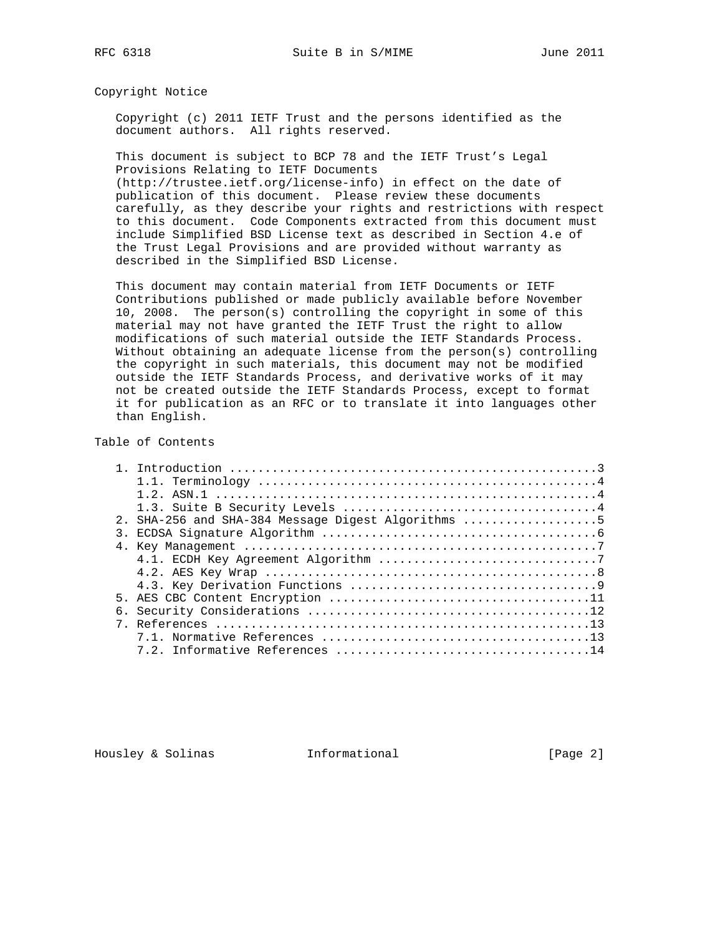Copyright Notice

 Copyright (c) 2011 IETF Trust and the persons identified as the document authors. All rights reserved.

 This document is subject to BCP 78 and the IETF Trust's Legal Provisions Relating to IETF Documents

 (http://trustee.ietf.org/license-info) in effect on the date of publication of this document. Please review these documents carefully, as they describe your rights and restrictions with respect to this document. Code Components extracted from this document must include Simplified BSD License text as described in Section 4.e of the Trust Legal Provisions and are provided without warranty as described in the Simplified BSD License.

 This document may contain material from IETF Documents or IETF Contributions published or made publicly available before November 10, 2008. The person(s) controlling the copyright in some of this material may not have granted the IETF Trust the right to allow modifications of such material outside the IETF Standards Process. Without obtaining an adequate license from the person(s) controlling the copyright in such materials, this document may not be modified outside the IETF Standards Process, and derivative works of it may not be created outside the IETF Standards Process, except to format it for publication as an RFC or to translate it into languages other than English.

#### Table of Contents

|               | 2. SHA-256 and SHA-384 Message Digest Algorithms 5 |
|---------------|----------------------------------------------------|
| $\mathcal{R}$ |                                                    |
|               |                                                    |
|               |                                                    |
|               |                                                    |
|               |                                                    |
|               |                                                    |
|               |                                                    |
|               |                                                    |
|               |                                                    |
|               |                                                    |

Housley & Solinas **Informational** [Page 2]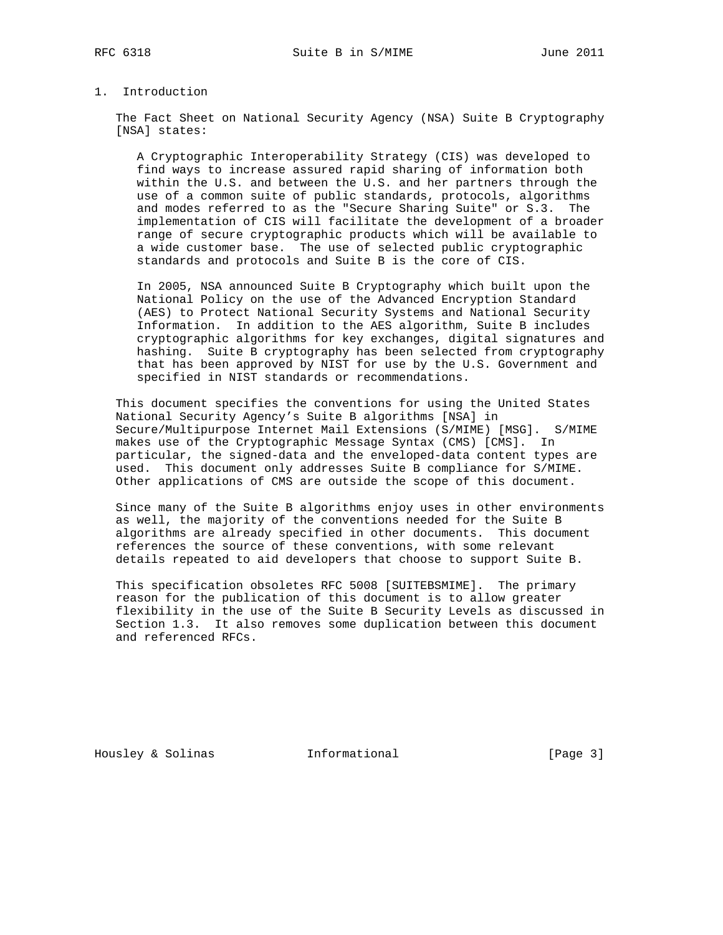### 1. Introduction

 The Fact Sheet on National Security Agency (NSA) Suite B Cryptography [NSA] states:

 A Cryptographic Interoperability Strategy (CIS) was developed to find ways to increase assured rapid sharing of information both within the U.S. and between the U.S. and her partners through the use of a common suite of public standards, protocols, algorithms and modes referred to as the "Secure Sharing Suite" or S.3. The implementation of CIS will facilitate the development of a broader range of secure cryptographic products which will be available to a wide customer base. The use of selected public cryptographic standards and protocols and Suite B is the core of CIS.

 In 2005, NSA announced Suite B Cryptography which built upon the National Policy on the use of the Advanced Encryption Standard (AES) to Protect National Security Systems and National Security Information. In addition to the AES algorithm, Suite B includes cryptographic algorithms for key exchanges, digital signatures and hashing. Suite B cryptography has been selected from cryptography that has been approved by NIST for use by the U.S. Government and specified in NIST standards or recommendations.

 This document specifies the conventions for using the United States National Security Agency's Suite B algorithms [NSA] in Secure/Multipurpose Internet Mail Extensions (S/MIME) [MSG]. S/MIME makes use of the Cryptographic Message Syntax (CMS) [CMS]. In particular, the signed-data and the enveloped-data content types are used. This document only addresses Suite B compliance for S/MIME. Other applications of CMS are outside the scope of this document.

 Since many of the Suite B algorithms enjoy uses in other environments as well, the majority of the conventions needed for the Suite B algorithms are already specified in other documents. This document references the source of these conventions, with some relevant details repeated to aid developers that choose to support Suite B.

 This specification obsoletes RFC 5008 [SUITEBSMIME]. The primary reason for the publication of this document is to allow greater flexibility in the use of the Suite B Security Levels as discussed in Section 1.3. It also removes some duplication between this document and referenced RFCs.

Housley & Solinas **Informational** [Page 3]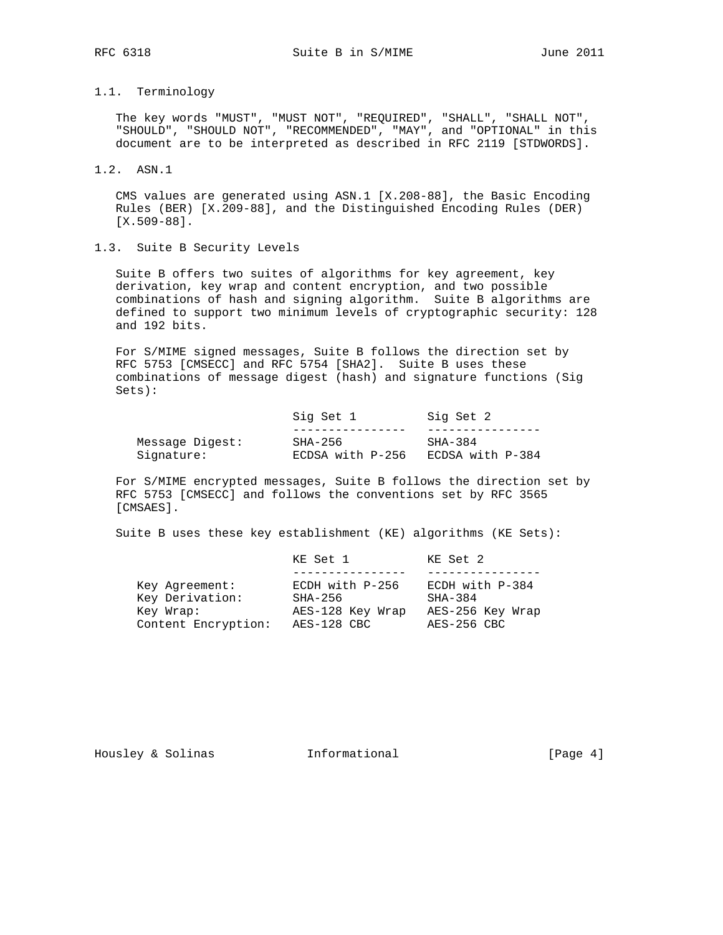# 1.1. Terminology

 The key words "MUST", "MUST NOT", "REQUIRED", "SHALL", "SHALL NOT", "SHOULD", "SHOULD NOT", "RECOMMENDED", "MAY", and "OPTIONAL" in this document are to be interpreted as described in RFC 2119 [STDWORDS].

1.2. ASN.1

 CMS values are generated using ASN.1 [X.208-88], the Basic Encoding Rules (BER) [X.209-88], and the Distinguished Encoding Rules (DER) [X.509-88].

1.3. Suite B Security Levels

 Suite B offers two suites of algorithms for key agreement, key derivation, key wrap and content encryption, and two possible combinations of hash and signing algorithm. Suite B algorithms are defined to support two minimum levels of cryptographic security: 128 and 192 bits.

 For S/MIME signed messages, Suite B follows the direction set by RFC 5753 [CMSECC] and RFC 5754 [SHA2]. Suite B uses these combinations of message digest (hash) and signature functions (Sig Sets):

|                 | Sig Set 1        | Sig Set 2        |
|-----------------|------------------|------------------|
|                 |                  |                  |
| Message Digest: | SHA-256          | SHA-384          |
| Signature:      | ECDSA with P-256 | ECDSA with P-384 |

 For S/MIME encrypted messages, Suite B follows the direction set by RFC 5753 [CMSECC] and follows the conventions set by RFC 3565 [CMSAES].

Suite B uses these key establishment (KE) algorithms (KE Sets):

|                     | KE Set 1         | KE Set 2          |
|---------------------|------------------|-------------------|
|                     |                  |                   |
| Key Agreement:      | ECDH with P-256  | ECDH with $P-384$ |
| Key Derivation:     | $SHA-256$        | $SHA-384$         |
| Key Wrap:           | AES-128 Key Wrap | AES-256 Key Wrap  |
| Content Encryption: | AES-128 CBC      | AES-256 CBC       |

Housley & Solinas **Informational** [Page 4]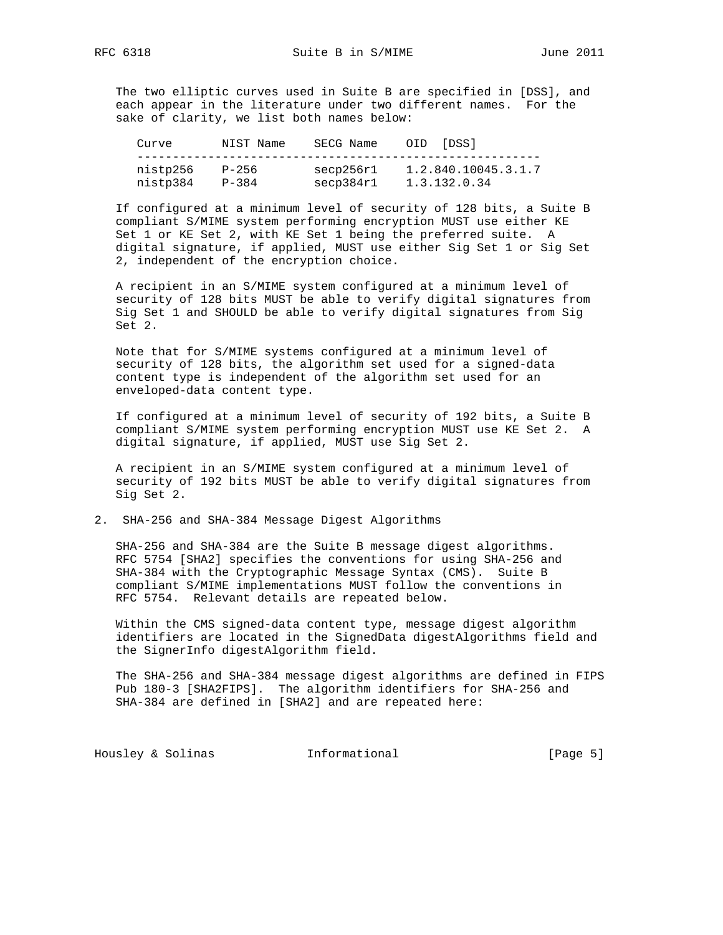The two elliptic curves used in Suite B are specified in [DSS], and each appear in the literature under two different names. For the sake of clarity, we list both names below:

| Curve                | NIST Name          | SECG Name              | OID | [DSS]                               |
|----------------------|--------------------|------------------------|-----|-------------------------------------|
| nistp256<br>nistp384 | P-256<br>$P - 384$ | secp256r1<br>secp384r1 |     | 1.2.840.10045.3.1.7<br>1.3.132.0.34 |

 If configured at a minimum level of security of 128 bits, a Suite B compliant S/MIME system performing encryption MUST use either KE Set 1 or KE Set 2, with KE Set 1 being the preferred suite. A digital signature, if applied, MUST use either Sig Set 1 or Sig Set 2, independent of the encryption choice.

 A recipient in an S/MIME system configured at a minimum level of security of 128 bits MUST be able to verify digital signatures from Sig Set 1 and SHOULD be able to verify digital signatures from Sig Set 2.

 Note that for S/MIME systems configured at a minimum level of security of 128 bits, the algorithm set used for a signed-data content type is independent of the algorithm set used for an enveloped-data content type.

 If configured at a minimum level of security of 192 bits, a Suite B compliant S/MIME system performing encryption MUST use KE Set 2. A digital signature, if applied, MUST use Sig Set 2.

 A recipient in an S/MIME system configured at a minimum level of security of 192 bits MUST be able to verify digital signatures from Sig Set 2.

2. SHA-256 and SHA-384 Message Digest Algorithms

 SHA-256 and SHA-384 are the Suite B message digest algorithms. RFC 5754 [SHA2] specifies the conventions for using SHA-256 and SHA-384 with the Cryptographic Message Syntax (CMS). Suite B compliant S/MIME implementations MUST follow the conventions in RFC 5754. Relevant details are repeated below.

 Within the CMS signed-data content type, message digest algorithm identifiers are located in the SignedData digestAlgorithms field and the SignerInfo digestAlgorithm field.

 The SHA-256 and SHA-384 message digest algorithms are defined in FIPS Pub 180-3 [SHA2FIPS]. The algorithm identifiers for SHA-256 and SHA-384 are defined in [SHA2] and are repeated here:

Housley & Solinas **Informational** [Page 5]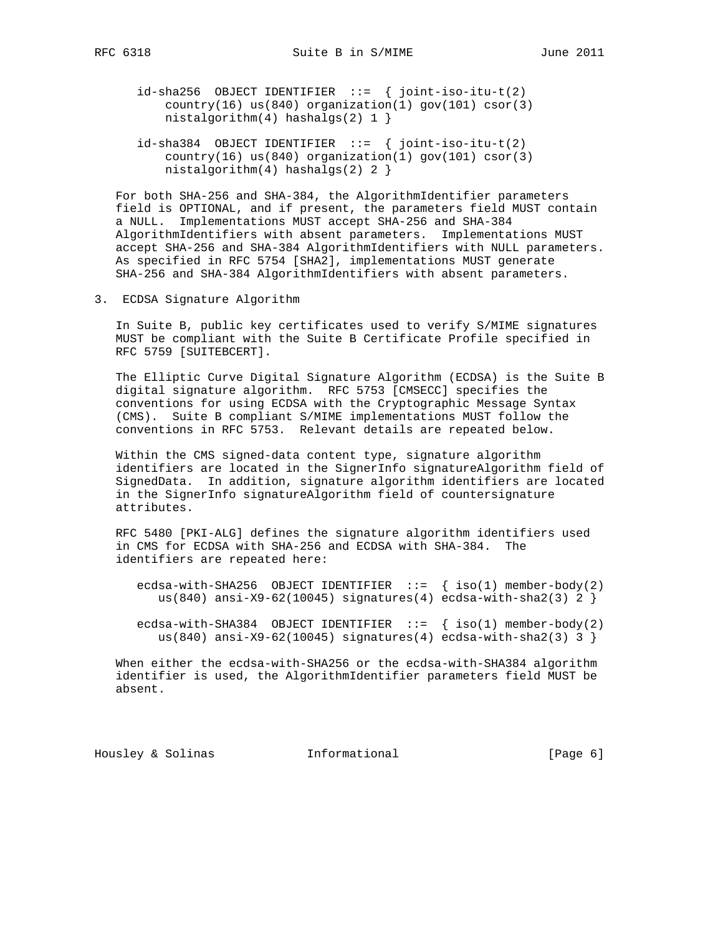- $id\text{-}sha256$  OBJECT IDENTIFIER ::= { joint-iso-itu-t(2) country(16) us(840) organization(1) gov(101)  $\text{csor}(3)$ nistalgorithm(4) hashalgs(2)  $1$  }
- $id\text{-}sha384$  OBJECT IDENTIFIER ::= { joint-iso-itu-t(2)  $country(16)$  us(840) organization(1) gov(101) csor(3) nistalgorithm(4) hashalgs(2) 2 }

 For both SHA-256 and SHA-384, the AlgorithmIdentifier parameters field is OPTIONAL, and if present, the parameters field MUST contain a NULL. Implementations MUST accept SHA-256 and SHA-384 AlgorithmIdentifiers with absent parameters. Implementations MUST accept SHA-256 and SHA-384 AlgorithmIdentifiers with NULL parameters. As specified in RFC 5754 [SHA2], implementations MUST generate SHA-256 and SHA-384 AlgorithmIdentifiers with absent parameters.

3. ECDSA Signature Algorithm

 In Suite B, public key certificates used to verify S/MIME signatures MUST be compliant with the Suite B Certificate Profile specified in RFC 5759 [SUITEBCERT].

 The Elliptic Curve Digital Signature Algorithm (ECDSA) is the Suite B digital signature algorithm. RFC 5753 [CMSECC] specifies the conventions for using ECDSA with the Cryptographic Message Syntax (CMS). Suite B compliant S/MIME implementations MUST follow the conventions in RFC 5753. Relevant details are repeated below.

 Within the CMS signed-data content type, signature algorithm identifiers are located in the SignerInfo signatureAlgorithm field of SignedData. In addition, signature algorithm identifiers are located in the SignerInfo signatureAlgorithm field of countersignature attributes.

 RFC 5480 [PKI-ALG] defines the signature algorithm identifiers used in CMS for ECDSA with SHA-256 and ECDSA with SHA-384. The identifiers are repeated here:

- ecdsa-with-SHA256 OBJECT IDENTIFIER  $::=$  { iso(1) member-body(2) us(840) ansi-X9-62(10045) signatures(4) ecdsa-with-sha2(3) 2 }
- ecdsa-with-SHA384 OBJECT IDENTIFIER  $::=$  { iso(1) member-body(2) us(840) ansi-X9-62(10045) signatures(4) ecdsa-with-sha2(3) 3 }

 When either the ecdsa-with-SHA256 or the ecdsa-with-SHA384 algorithm identifier is used, the AlgorithmIdentifier parameters field MUST be absent.

Housley & Solinas **Informational** [Page 6]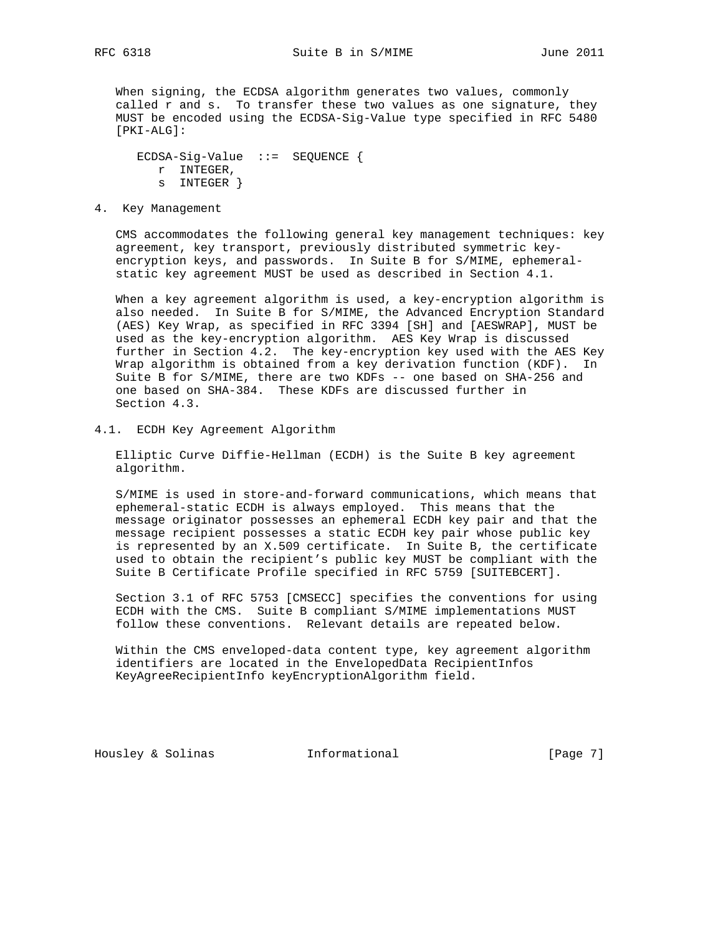When signing, the ECDSA algorithm generates two values, commonly called r and s. To transfer these two values as one signature, they MUST be encoded using the ECDSA-Sig-Value type specified in RFC 5480 [PKI-ALG]:

 ECDSA-Sig-Value ::= SEQUENCE { r INTEGER, s INTEGER }

4. Key Management

 CMS accommodates the following general key management techniques: key agreement, key transport, previously distributed symmetric key encryption keys, and passwords. In Suite B for S/MIME, ephemeral static key agreement MUST be used as described in Section 4.1.

 When a key agreement algorithm is used, a key-encryption algorithm is also needed. In Suite B for S/MIME, the Advanced Encryption Standard (AES) Key Wrap, as specified in RFC 3394 [SH] and [AESWRAP], MUST be used as the key-encryption algorithm. AES Key Wrap is discussed further in Section 4.2. The key-encryption key used with the AES Key Wrap algorithm is obtained from a key derivation function (KDF). In Suite B for S/MIME, there are two KDFs -- one based on SHA-256 and one based on SHA-384. These KDFs are discussed further in Section 4.3.

4.1. ECDH Key Agreement Algorithm

 Elliptic Curve Diffie-Hellman (ECDH) is the Suite B key agreement algorithm.

 S/MIME is used in store-and-forward communications, which means that ephemeral-static ECDH is always employed. This means that the message originator possesses an ephemeral ECDH key pair and that the message recipient possesses a static ECDH key pair whose public key is represented by an X.509 certificate. In Suite B, the certificate used to obtain the recipient's public key MUST be compliant with the Suite B Certificate Profile specified in RFC 5759 [SUITEBCERT].

 Section 3.1 of RFC 5753 [CMSECC] specifies the conventions for using ECDH with the CMS. Suite B compliant S/MIME implementations MUST follow these conventions. Relevant details are repeated below.

 Within the CMS enveloped-data content type, key agreement algorithm identifiers are located in the EnvelopedData RecipientInfos KeyAgreeRecipientInfo keyEncryptionAlgorithm field.

Housley & Solinas **Informational** [Page 7]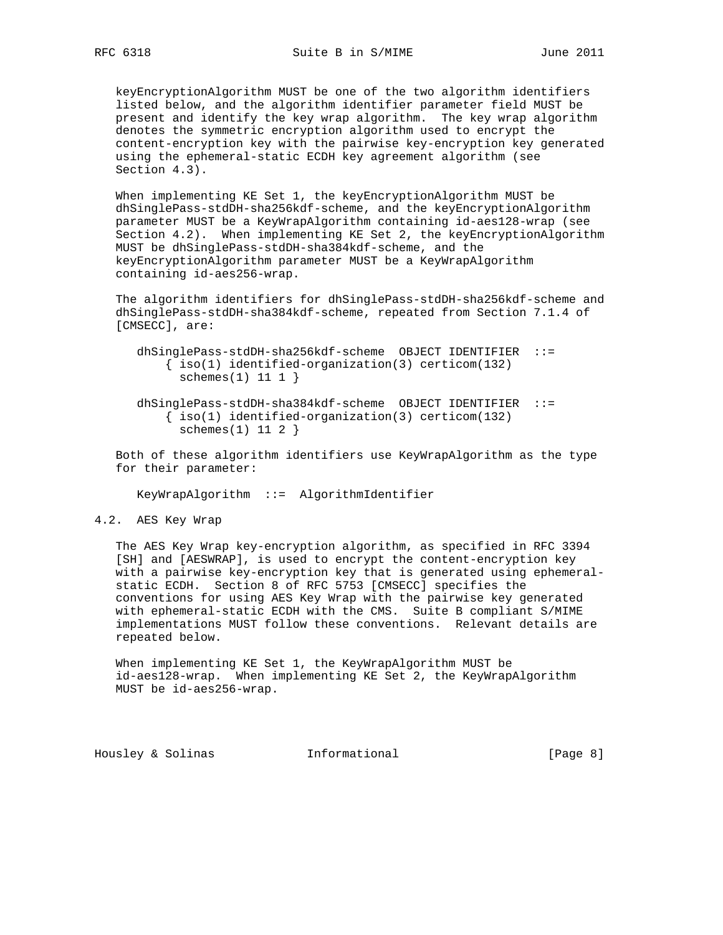keyEncryptionAlgorithm MUST be one of the two algorithm identifiers listed below, and the algorithm identifier parameter field MUST be present and identify the key wrap algorithm. The key wrap algorithm denotes the symmetric encryption algorithm used to encrypt the content-encryption key with the pairwise key-encryption key generated using the ephemeral-static ECDH key agreement algorithm (see Section 4.3).

 When implementing KE Set 1, the keyEncryptionAlgorithm MUST be dhSinglePass-stdDH-sha256kdf-scheme, and the keyEncryptionAlgorithm parameter MUST be a KeyWrapAlgorithm containing id-aes128-wrap (see Section 4.2). When implementing KE Set 2, the keyEncryptionAlgorithm MUST be dhSinglePass-stdDH-sha384kdf-scheme, and the keyEncryptionAlgorithm parameter MUST be a KeyWrapAlgorithm containing id-aes256-wrap.

 The algorithm identifiers for dhSinglePass-stdDH-sha256kdf-scheme and dhSinglePass-stdDH-sha384kdf-scheme, repeated from Section 7.1.4 of [CMSECC], are:

 dhSinglePass-stdDH-sha256kdf-scheme OBJECT IDENTIFIER ::= { iso(1) identified-organization(3) certicom(132) schemes $(1)$  11 1 }

 dhSinglePass-stdDH-sha384kdf-scheme OBJECT IDENTIFIER ::=  $\{ iso(1) *identified-organization(3) *certicom(132)**$  $schemes(1) 11 2$ }

 Both of these algorithm identifiers use KeyWrapAlgorithm as the type for their parameter:

KeyWrapAlgorithm ::= AlgorithmIdentifier

#### 4.2. AES Key Wrap

 The AES Key Wrap key-encryption algorithm, as specified in RFC 3394 [SH] and [AESWRAP], is used to encrypt the content-encryption key with a pairwise key-encryption key that is generated using ephemeral static ECDH. Section 8 of RFC 5753 [CMSECC] specifies the conventions for using AES Key Wrap with the pairwise key generated with ephemeral-static ECDH with the CMS. Suite B compliant S/MIME implementations MUST follow these conventions. Relevant details are repeated below.

 When implementing KE Set 1, the KeyWrapAlgorithm MUST be id-aes128-wrap. When implementing KE Set 2, the KeyWrapAlgorithm MUST be id-aes256-wrap.

Housley & Solinas **Informational** [Page 8]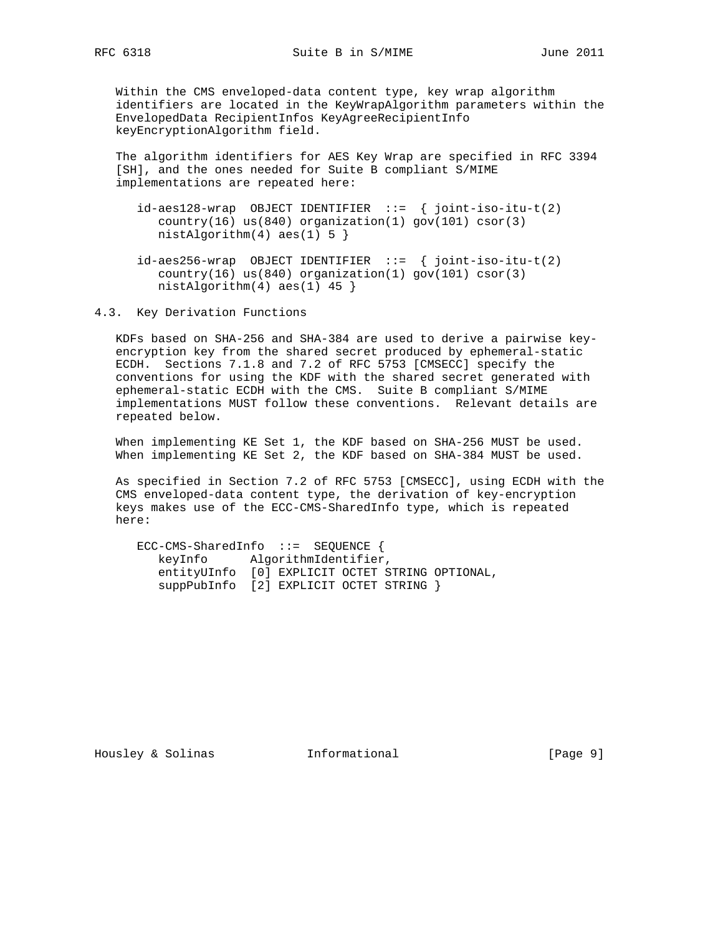Within the CMS enveloped-data content type, key wrap algorithm identifiers are located in the KeyWrapAlgorithm parameters within the EnvelopedData RecipientInfos KeyAgreeRecipientInfo keyEncryptionAlgorithm field.

 The algorithm identifiers for AES Key Wrap are specified in RFC 3394 [SH], and the ones needed for Suite B compliant S/MIME implementations are repeated here:

- id-aes128-wrap OBJECT IDENTIFIER ::= { joint-iso-itu-t(2) country(16) us(840) organization(1) gov(101) csor(3)  $nistAlgorithm(4)$   $aes(1) 5$  }
- id-aes256-wrap OBJECT IDENTIFIER ::= { joint-iso-itu-t(2)  $country(16)$  us(840) organization(1) gov(101) csor(3) nistAlgorithm(4) aes(1) 45 }

4.3. Key Derivation Functions

 KDFs based on SHA-256 and SHA-384 are used to derive a pairwise key encryption key from the shared secret produced by ephemeral-static ECDH. Sections 7.1.8 and 7.2 of RFC 5753 [CMSECC] specify the conventions for using the KDF with the shared secret generated with ephemeral-static ECDH with the CMS. Suite B compliant S/MIME implementations MUST follow these conventions. Relevant details are repeated below.

 When implementing KE Set 1, the KDF based on SHA-256 MUST be used. When implementing KE Set 2, the KDF based on SHA-384 MUST be used.

 As specified in Section 7.2 of RFC 5753 [CMSECC], using ECDH with the CMS enveloped-data content type, the derivation of key-encryption keys makes use of the ECC-CMS-SharedInfo type, which is repeated here:

 ECC-CMS-SharedInfo ::= SEQUENCE { keyInfo AlgorithmIdentifier, entityUInfo [0] EXPLICIT OCTET STRING OPTIONAL, suppPubInfo [2] EXPLICIT OCTET STRING }

Housley & Solinas Theormational Foursell Page 9]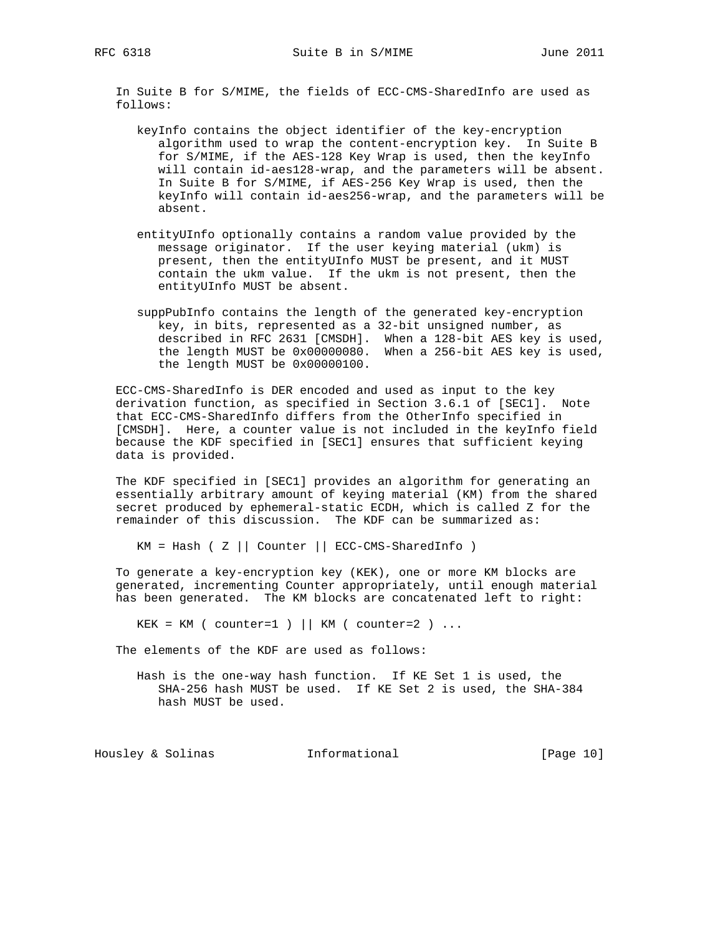In Suite B for S/MIME, the fields of ECC-CMS-SharedInfo are used as follows:

- keyInfo contains the object identifier of the key-encryption algorithm used to wrap the content-encryption key. In Suite B for S/MIME, if the AES-128 Key Wrap is used, then the keyInfo will contain id-aes128-wrap, and the parameters will be absent. In Suite B for S/MIME, if AES-256 Key Wrap is used, then the keyInfo will contain id-aes256-wrap, and the parameters will be absent.
- entityUInfo optionally contains a random value provided by the message originator. If the user keying material (ukm) is present, then the entityUInfo MUST be present, and it MUST contain the ukm value. If the ukm is not present, then the entityUInfo MUST be absent.
- suppPubInfo contains the length of the generated key-encryption key, in bits, represented as a 32-bit unsigned number, as described in RFC 2631 [CMSDH]. When a 128-bit AES key is used, the length MUST be 0x00000080. When a 256-bit AES key is used, the length MUST be 0x00000100.

 ECC-CMS-SharedInfo is DER encoded and used as input to the key derivation function, as specified in Section 3.6.1 of [SEC1]. Note that ECC-CMS-SharedInfo differs from the OtherInfo specified in [CMSDH]. Here, a counter value is not included in the keyInfo field because the KDF specified in [SEC1] ensures that sufficient keying data is provided.

 The KDF specified in [SEC1] provides an algorithm for generating an essentially arbitrary amount of keying material (KM) from the shared secret produced by ephemeral-static ECDH, which is called Z for the remainder of this discussion. The KDF can be summarized as:

 $KM = Hash ( Z || Counter || ECC-CMS-SharedInfo )$ 

 To generate a key-encryption key (KEK), one or more KM blocks are generated, incrementing Counter appropriately, until enough material has been generated. The KM blocks are concatenated left to right:

 $KEK = KM$  ( counter=1 ) || KM ( counter=2 ) ...

The elements of the KDF are used as follows:

 Hash is the one-way hash function. If KE Set 1 is used, the SHA-256 hash MUST be used. If KE Set 2 is used, the SHA-384 hash MUST be used.

Housley & Solinas Theormational Fourse (Page 10)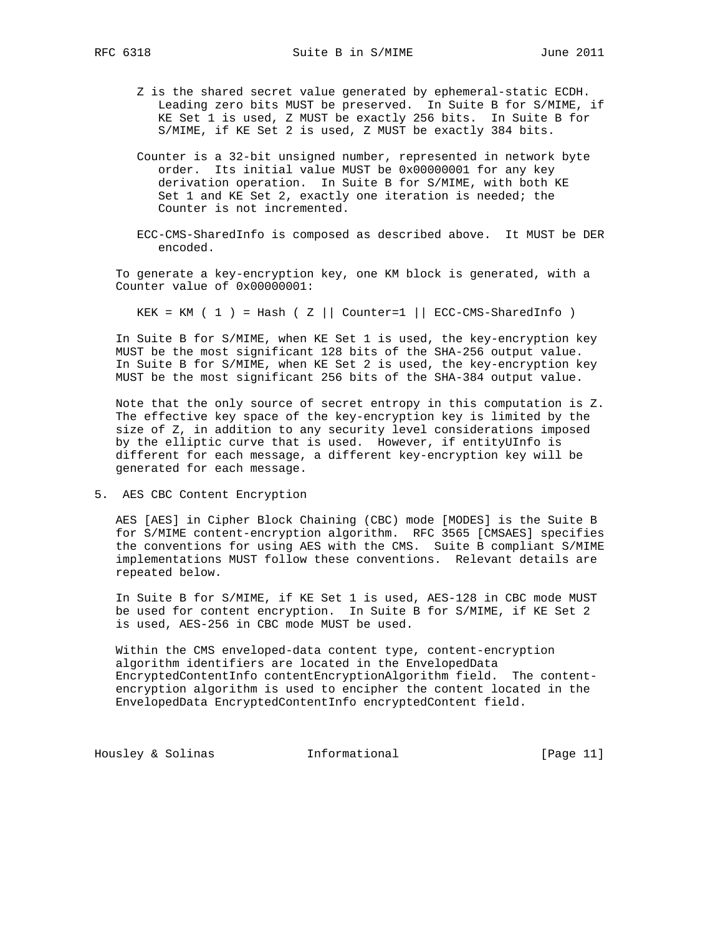- Z is the shared secret value generated by ephemeral-static ECDH. Leading zero bits MUST be preserved. In Suite B for S/MIME, if KE Set 1 is used, Z MUST be exactly 256 bits. In Suite B for S/MIME, if KE Set 2 is used, Z MUST be exactly 384 bits.
- Counter is a 32-bit unsigned number, represented in network byte order. Its initial value MUST be 0x00000001 for any key derivation operation. In Suite B for S/MIME, with both KE Set 1 and KE Set 2, exactly one iteration is needed; the Counter is not incremented.
- ECC-CMS-SharedInfo is composed as described above. It MUST be DER encoded.

 To generate a key-encryption key, one KM block is generated, with a Counter value of 0x00000001:

KEK = KM ( 1 ) = Hash (  $Z$  || Counter=1 || ECC-CMS-SharedInfo )

 In Suite B for S/MIME, when KE Set 1 is used, the key-encryption key MUST be the most significant 128 bits of the SHA-256 output value. In Suite B for S/MIME, when KE Set 2 is used, the key-encryption key MUST be the most significant 256 bits of the SHA-384 output value.

 Note that the only source of secret entropy in this computation is Z. The effective key space of the key-encryption key is limited by the size of Z, in addition to any security level considerations imposed by the elliptic curve that is used. However, if entityUInfo is different for each message, a different key-encryption key will be generated for each message.

5. AES CBC Content Encryption

 AES [AES] in Cipher Block Chaining (CBC) mode [MODES] is the Suite B for S/MIME content-encryption algorithm. RFC 3565 [CMSAES] specifies the conventions for using AES with the CMS. Suite B compliant S/MIME implementations MUST follow these conventions. Relevant details are repeated below.

 In Suite B for S/MIME, if KE Set 1 is used, AES-128 in CBC mode MUST be used for content encryption. In Suite B for S/MIME, if KE Set 2 is used, AES-256 in CBC mode MUST be used.

 Within the CMS enveloped-data content type, content-encryption algorithm identifiers are located in the EnvelopedData EncryptedContentInfo contentEncryptionAlgorithm field. The content encryption algorithm is used to encipher the content located in the EnvelopedData EncryptedContentInfo encryptedContent field.

Housley & Solinas Theormational Fournational [Page 11]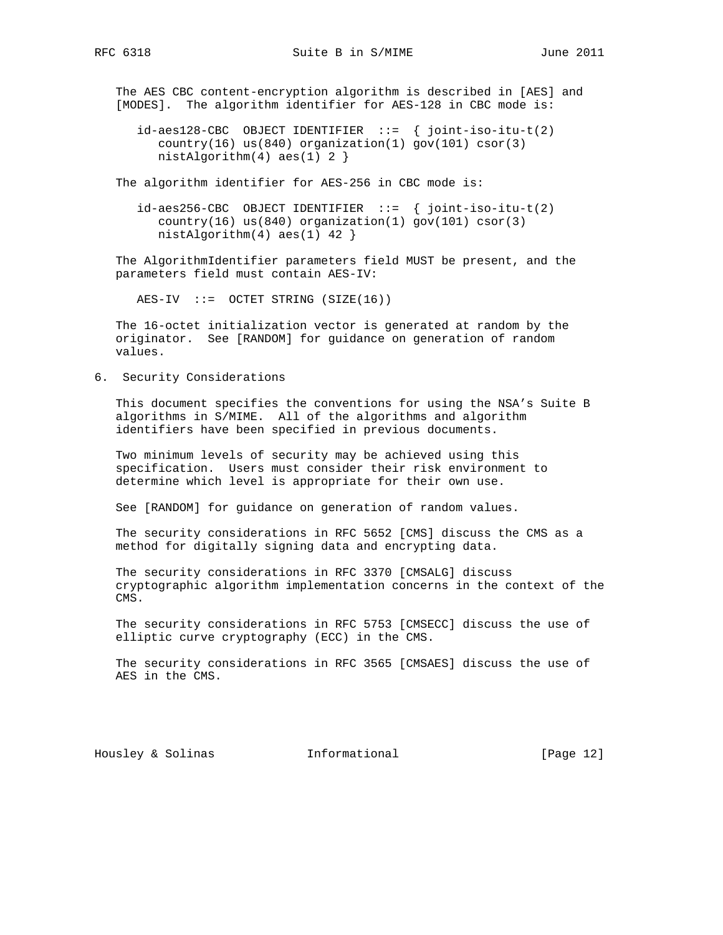The AES CBC content-encryption algorithm is described in [AES] and [MODES]. The algorithm identifier for AES-128 in CBC mode is:

 $id-aes128-CBC$  OBJECT IDENTIFIER  $::=$  { joint-iso-itu-t(2) country(16) us(840) organization(1) gov(101) csor(3) nistAlgorithm(4) aes(1) 2 }

The algorithm identifier for AES-256 in CBC mode is:

 id-aes256-CBC OBJECT IDENTIFIER ::= { joint-iso-itu-t(2) country(16) us(840) organization(1) gov(101) csor(3) nistAlgorithm(4) aes(1) 42 }

 The AlgorithmIdentifier parameters field MUST be present, and the parameters field must contain AES-IV:

 $AES-IV ::= OCTET STRING (SIZE(16))$ 

 The 16-octet initialization vector is generated at random by the originator. See [RANDOM] for guidance on generation of random values.

6. Security Considerations

 This document specifies the conventions for using the NSA's Suite B algorithms in S/MIME. All of the algorithms and algorithm identifiers have been specified in previous documents.

 Two minimum levels of security may be achieved using this specification. Users must consider their risk environment to determine which level is appropriate for their own use.

See [RANDOM] for guidance on generation of random values.

 The security considerations in RFC 5652 [CMS] discuss the CMS as a method for digitally signing data and encrypting data.

 The security considerations in RFC 3370 [CMSALG] discuss cryptographic algorithm implementation concerns in the context of the CMS.

 The security considerations in RFC 5753 [CMSECC] discuss the use of elliptic curve cryptography (ECC) in the CMS.

 The security considerations in RFC 3565 [CMSAES] discuss the use of AES in the CMS.

Housley & Solinas Informational [Page 12]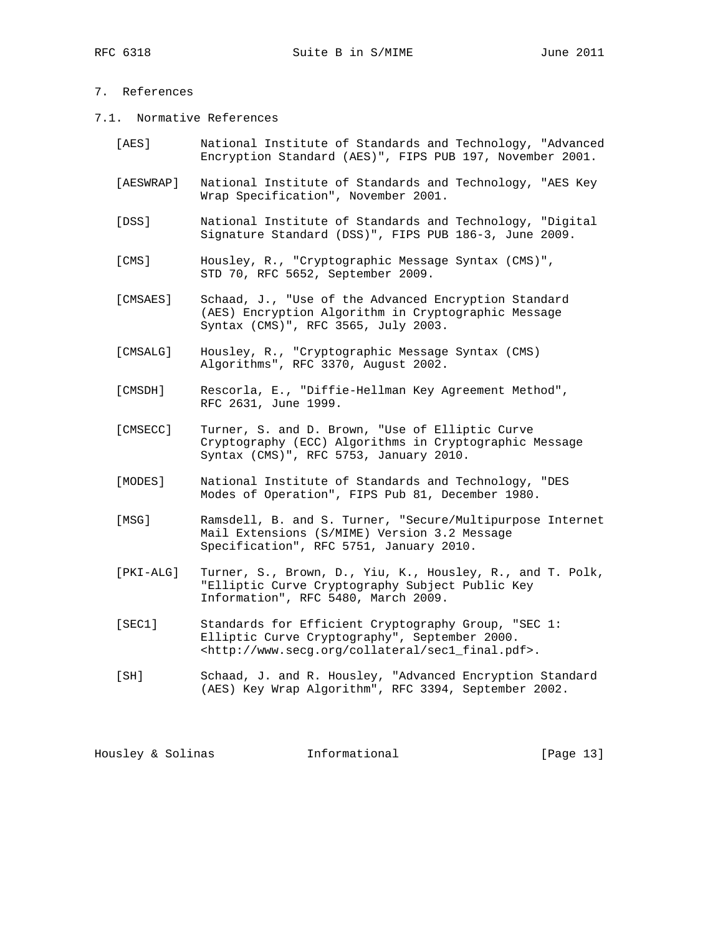# 7. References

- 7.1. Normative References
	- [AES] National Institute of Standards and Technology, "Advanced Encryption Standard (AES)", FIPS PUB 197, November 2001.
	- [AESWRAP] National Institute of Standards and Technology, "AES Key Wrap Specification", November 2001.
	- [DSS] National Institute of Standards and Technology, "Digital Signature Standard (DSS)", FIPS PUB 186-3, June 2009.
	- [CMS] Housley, R., "Cryptographic Message Syntax (CMS)", STD 70, RFC 5652, September 2009.
	- [CMSAES] Schaad, J., "Use of the Advanced Encryption Standard (AES) Encryption Algorithm in Cryptographic Message Syntax (CMS)", RFC 3565, July 2003.
	- [CMSALG] Housley, R., "Cryptographic Message Syntax (CMS) Algorithms", RFC 3370, August 2002.
	- [CMSDH] Rescorla, E., "Diffie-Hellman Key Agreement Method", RFC 2631, June 1999.
	- [CMSECC] Turner, S. and D. Brown, "Use of Elliptic Curve Cryptography (ECC) Algorithms in Cryptographic Message Syntax (CMS)", RFC 5753, January 2010.
	- [MODES] National Institute of Standards and Technology, "DES Modes of Operation", FIPS Pub 81, December 1980.
	- [MSG] Ramsdell, B. and S. Turner, "Secure/Multipurpose Internet Mail Extensions (S/MIME) Version 3.2 Message Specification", RFC 5751, January 2010.
	- [PKI-ALG] Turner, S., Brown, D., Yiu, K., Housley, R., and T. Polk, "Elliptic Curve Cryptography Subject Public Key Information", RFC 5480, March 2009.
	- [SEC1] Standards for Efficient Cryptography Group, "SEC 1: Elliptic Curve Cryptography", September 2000. <http://www.secg.org/collateral/sec1\_final.pdf>.
	- [SH] Schaad, J. and R. Housley, "Advanced Encryption Standard (AES) Key Wrap Algorithm", RFC 3394, September 2002.

| [Page 13]<br>Housley & Solinas |  |  | Informational |  |  |
|--------------------------------|--|--|---------------|--|--|
|--------------------------------|--|--|---------------|--|--|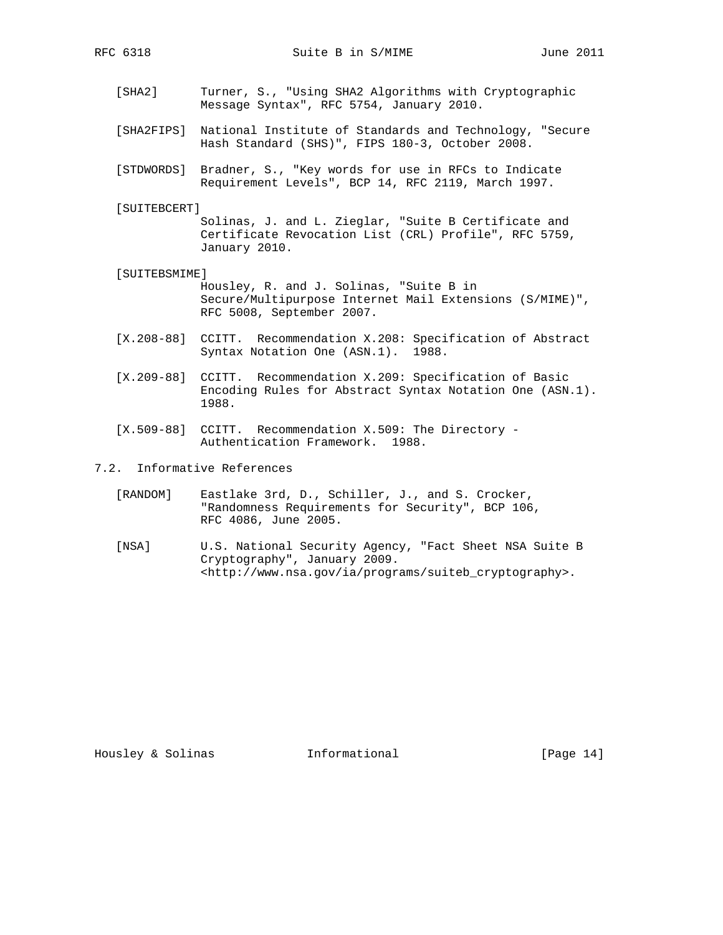- [SHA2] Turner, S., "Using SHA2 Algorithms with Cryptographic Message Syntax", RFC 5754, January 2010.
- [SHA2FIPS] National Institute of Standards and Technology, "Secure Hash Standard (SHS)", FIPS 180-3, October 2008.
- [STDWORDS] Bradner, S., "Key words for use in RFCs to Indicate Requirement Levels", BCP 14, RFC 2119, March 1997.
- [SUITEBCERT]

 Solinas, J. and L. Zieglar, "Suite B Certificate and Certificate Revocation List (CRL) Profile", RFC 5759, January 2010.

[SUITEBSMIME]

 Housley, R. and J. Solinas, "Suite B in Secure/Multipurpose Internet Mail Extensions (S/MIME)", RFC 5008, September 2007.

- [X.208-88] CCITT. Recommendation X.208: Specification of Abstract Syntax Notation One (ASN.1). 1988.
- [X.209-88] CCITT. Recommendation X.209: Specification of Basic Encoding Rules for Abstract Syntax Notation One (ASN.1). 1988.
- [X.509-88] CCITT. Recommendation X.509: The Directory Authentication Framework. 1988.
- 7.2. Informative References
	- [RANDOM] Eastlake 3rd, D., Schiller, J., and S. Crocker, "Randomness Requirements for Security", BCP 106, RFC 4086, June 2005.
	- [NSA] U.S. National Security Agency, "Fact Sheet NSA Suite B Cryptography", January 2009. <http://www.nsa.gov/ia/programs/suiteb\_cryptography>.